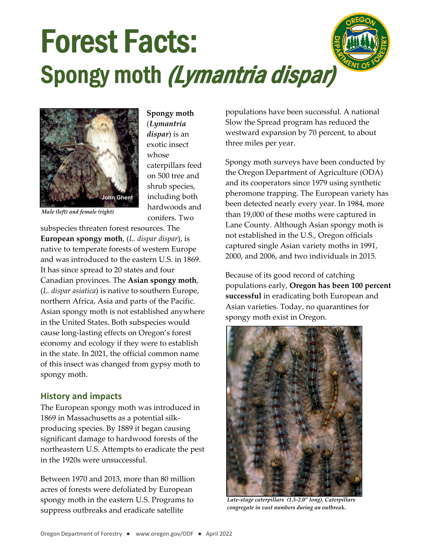



**Spongy moth** (*Lymantria dispar*) is an exotic insect whose caterpillars feed on 500 tree and shrub species, including both hardwoods and conifers. Two

*Male (left) and female (right)*

subspecies threaten forest resources. The **European spongy moth**, (*L. dispar dispar*), is native to temperate forests of western Europe and was introduced to the eastern U.S. in 1869. It has since spread to 20 states and four Canadian provinces. The **Asian spongy moth**, (*L. dispar asiatica*) is native to southern Europe, northern Africa, Asia and parts of the Pacific. Asian spongy moth is not established anywhere in the United States. Both subspecies would cause long‐lasting effects on Oregon's forest economy and ecology if they were to establish in the state. In 2021, the official common name of this insect was changed from gypsy moth to spongy moth.

## **History and impacts**

The European spongy moth was introduced in 1869 in Massachusetts as a potential silk‐ producing species. By 1889 it began causing significant damage to hardwood forests of the northeastern U.S. Attempts to eradicate the pest in the 1920s were unsuccessful.

Between 1970 and 2013, more than 80 million acres of forests were defoliated by European spongy moth in the eastern U.S. Programs to suppress outbreaks and eradicate satellite

populations have been successful. A national Slow the Spread program has reduced the westward expansion by 70 percent, to about three miles per year.

Spongy moth surveys have been conducted by the Oregon Department of Agriculture (ODA) and its cooperators since 1979 using synthetic pheromone trapping. The European variety has been detected nearly every year. In 1984, more than 19,000 of these moths were captured in Lane County. Although Asian spongy moth is not established in the U.S., Oregon officials captured single Asian variety moths in 1991, 2000, and 2006, and two individuals in 2015.

Because of its good record of catching populations early, **Oregon has been 100 percent successful** in eradicating both European and Asian varieties. Today, no quarantines for spongy moth exist in Oregon.



**Daniel Herms** *Late-stage caterpillars (1.5-2.0" long). Caterpillars congregate in vast numbers during an outbreak.*